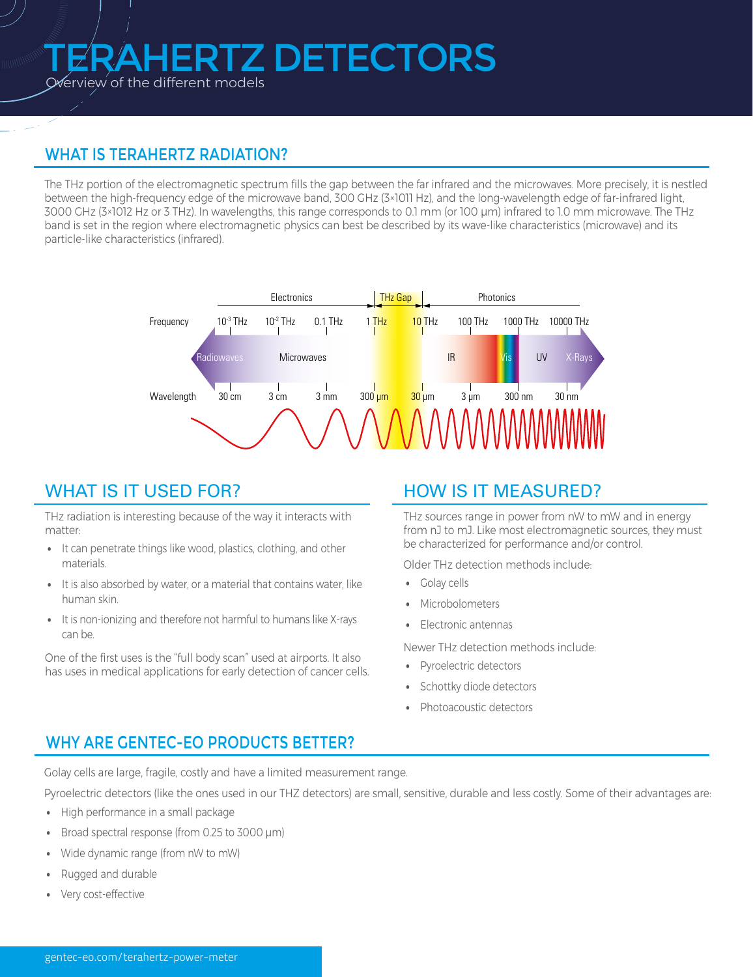# ERTZ DETECTORS

Overview of the different models

# WHAT IS TERAHERTZ RADIATION?

The THz portion of the electromagnetic spectrum fills the gap between the far infrared and the microwaves. More precisely, it is nestled between the high-frequency edge of the microwave band, 300 GHz (3×1011 Hz), and the long-wavelength edge of far-infrared light, 3000 GHz (3×1012 Hz or 3 THz). In wavelengths, this range corresponds to 0.1 mm (or 100 μm) infrared to 1.0 mm microwave. The THz band is set in the region where electromagnetic physics can best be described by its wave-like characteristics (microwave) and its particle-like characteristics (infrared).



### WHAT IS IT USED FOR?

THz radiation is interesting because of the way it interacts with matter:

- It can penetrate things like wood, plastics, clothing, and other materials.
- It is also absorbed by water, or a material that contains water, like human skin.
- It is non-ionizing and therefore not harmful to humans like X-rays can be.

One of the first uses is the "full body scan" used at airports. It also has uses in medical applications for early detection of cancer cells.

# HOW IS IT MEASURED?

THz sources range in power from nW to mW and in energy from nJ to mJ. Like most electromagnetic sources, they must be characterized for performance and/or control.

Older THz detection methods include:

- Golay cells
- Microbolometers
- Electronic antennas

Newer THz detection methods include:

- Pyroelectric detectors
- Schottky diode detectors
- Photoacoustic detectors

## WHY ARE GENTEC-EO PRODUCTS BETTER?

Golay cells are large, fragile, costly and have a limited measurement range.

Pyroelectric detectors (like the ones used in our THZ detectors) are small, sensitive, durable and less costly. Some of their advantages are:

- High performance in a small package
- Broad spectral response (from 0.25 to 3000 µm)
- Wide dynamic range (from nW to mW)
- Rugged and durable
- Very cost-effective